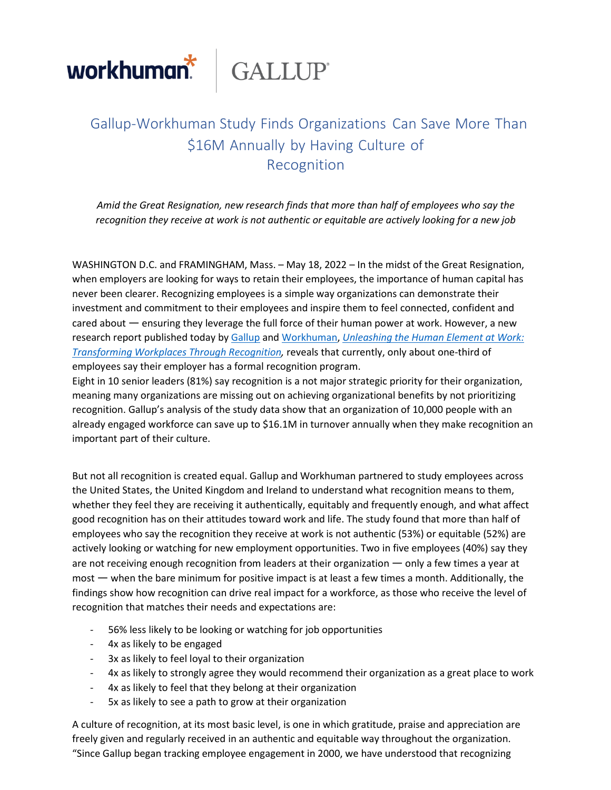

## Gallup-Workhuman Study Finds Organizations Can Save More Than \$16M Annually by Having Culture of Recognition

*Amid the Great Resignation, new research finds that more than half of employees who say the recognition they receive at work is not authentic or equitable are actively looking for a new job*

WASHINGTON D.C. and FRAMINGHAM, Mass. – May 18, 2022 – In the midst of the Great Resignation, when employers are looking for ways to retain their employees, the importance of human capital has never been clearer. Recognizing employees is a simple way organizations can demonstrate their investment and commitment to their employees and inspire them to feel connected, confident and cared about — ensuring they leverage the full force of their human power at work. However, a new research report published today by Gallup and Workhuman, *Unleashing the Human Element at Work: Transforming Workplaces Through Recognition,* reveals that currently, only about one-third of employees say their employer has a formal recognition program.

Eight in 10 senior leaders (81%) say recognition is a not major strategic priority for their organization, meaning many organizations are missing out on achieving organizational benefits by not prioritizing recognition. Gallup's analysis of the study data show that an organization of 10,000 people with an already engaged workforce can save up to \$16.1M in turnover annually when they make recognition an important part of their culture.

But not all recognition is created equal. Gallup and Workhuman partnered to study employees across the United States, the United Kingdom and Ireland to understand what recognition means to them, whether they feel they are receiving it authentically, equitably and frequently enough, and what affect good recognition has on their attitudes toward work and life. The study found that more than half of employees who say the recognition they receive at work is not authentic (53%) or equitable (52%) are actively looking or watching for new employment opportunities. Two in five employees (40%) say they are not receiving enough recognition from leaders at their organization — only a few times a year at most — when the bare minimum for positive impact is at least a few times a month. Additionally, the findings show how recognition can drive real impact for a workforce, as those who receive the level of recognition that matches their needs and expectations are:

- 56% less likely to be looking or watching for job opportunities
- 4x as likely to be engaged
- 3x as likely to feel loyal to their organization
- 4x as likely to strongly agree they would recommend their organization as a great place to work
- 4x as likely to feel that they belong at their organization
- 5x as likely to see a path to grow at their organization

A culture of recognition, at its most basic level, is one in which gratitude, praise and appreciation are freely given and regularly received in an authentic and equitable way throughout the organization. "Since Gallup began tracking employee engagement in 2000, we have understood that recognizing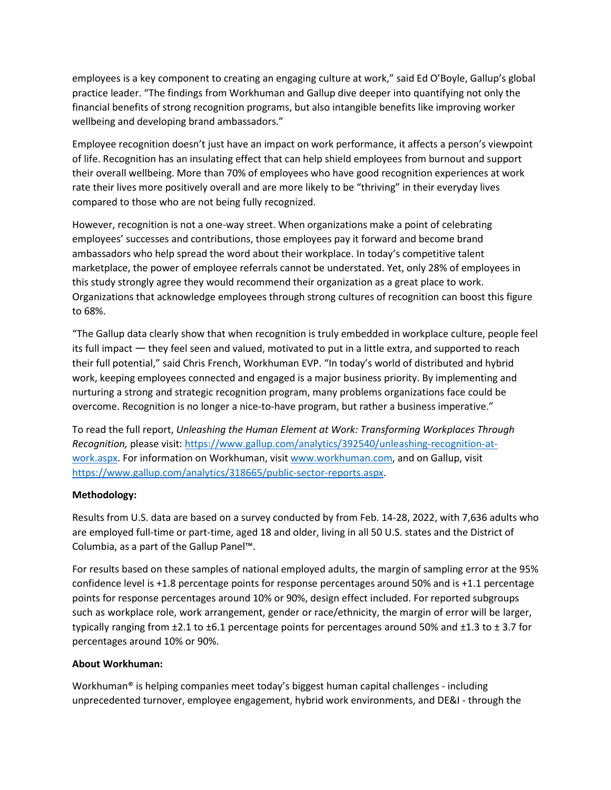employees is a key component to creating an engaging culture at work," said Ed O'Boyle, Gallup's global practice leader. "The findings from Workhuman and Gallup dive deeper into quantifying not only the financial benefits of strong recognition programs, but also intangible benefits like improving worker wellbeing and developing brand ambassadors."

Employee recognition doesn't just have an impact on work performance, it affects a person's viewpoint of life. Recognition has an insulating effect that can help shield employees from burnout and support their overall wellbeing. More than 70% of employees who have good recognition experiences at work rate their lives more positively overall and are more likely to be "thriving" in their everyday lives compared to those who are not being fully recognized.

However, recognition is not a one-way street. When organizations make a point of celebrating employees' successes and contributions, those employees pay it forward and become brand ambassadors who help spread the word about their workplace. In today's competitive talent marketplace, the power of employee referrals cannot be understated. Yet, only 28% of employees in this study strongly agree they would recommend their organization as a great place to work. Organizations that acknowledge employees through strong cultures of recognition can boost this figure to 68%.

"The Gallup data clearly show that when recognition is truly embedded in workplace culture, people feel its full impact — they feel seen and valued, motivated to put in a little extra, and supported to reach their full potential," said Chris French, Workhuman EVP. "In today's world of distributed and hybrid work, keeping employees connected and engaged is a major business priority. By implementing and nurturing a strong and strategic recognition program, many problems organizations face could be overcome. Recognition is no longer a nice-to-have program, but rather a business imperative."

To read the full report, *Unleashing the Human Element at Work: Transforming Workplaces Through Recognition,* please visit: [https://www.gallup.com/analytics/392540/unleashing-recognition-at](http://www.gallup.com/analytics/392540/unleashing-recognition-at-)work.aspx. For information on Workhuman, visit [www.workhuman.com,](http://www.workhuman.com/) and on Gallup, visit [https://www.gallup.com/analytics/318665/public-sector-reports.aspx.](http://www.gallup.com/analytics/318665/public-sector-reports.aspx)

## **Methodology:**

Results from U.S. data are based on a survey conducted by from Feb. 14-28, 2022, with 7,636 adults who are employed full-time or part-time, aged 18 and older, living in all 50 U.S. states and the District of Columbia, as a part of the Gallup Panel™.

For results based on these samples of national employed adults, the margin of sampling error at the 95% confidence level is +1.8 percentage points for response percentages around 50% and is +1.1 percentage points for response percentages around 10% or 90%, design effect included. For reported subgroups such as workplace role, work arrangement, gender or race/ethnicity, the margin of error will be larger, typically ranging from  $\pm 2.1$  to  $\pm 6.1$  percentage points for percentages around 50% and  $\pm 1.3$  to  $\pm 3.7$  for percentages around 10% or 90%.

## **About Workhuman:**

Workhuman® is helping companies meet today's biggest human capital challenges - including unprecedented turnover, employee engagement, hybrid work environments, and DE&I - through the